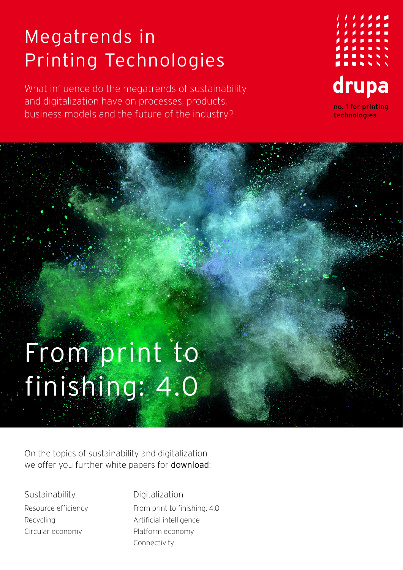## Megatrends in Printing Technologies

What influence do the megatrends of sustainability and digitalization have on processes, products, business models and the future of the industry?



## From print to finishing: 4.0

On the topics of sustainability and digitalization we offer you further white papers for [download](https://www.drupa.com/drupa_maintopics_EN):

**Sustainability** Resource efficiency Recycling Circular economy

Digitalization From print to finishing: 4.0 Artificial intelligence Platform economy Connectivity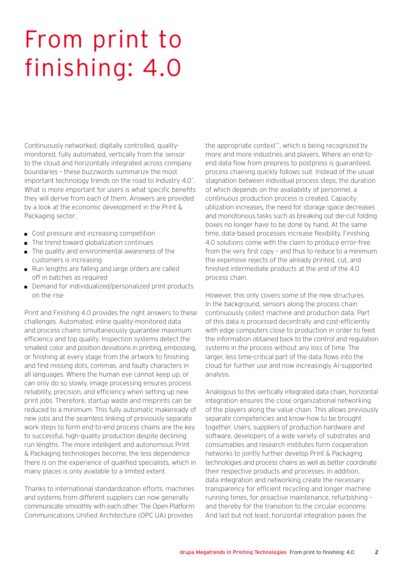## From print to finishing: 4.0

Continuously networked, digitally controlled, qualitymonitored, fully automated, vertically from the sensor to the cloud and horizontally integrated across company boundaries – these buzzwords summarize the most important technology trends on the road to Industry 4.0\* . What is more important for users is what specific benefits they will derive from each of them. Answers are provided by a look at the economic development in the Print & Packaging sector:

- Cost pressure and increasing competition
- The trend toward globalization continues
- The quality and environmental awareness of the customers is increasing
- Run lengths are falling and large orders are called off in batches as required
- Demand for individualized/personalized print products on the rise

Print and Finishing 4.0 provides the right answers to these challenges. Automated, inline quality-monitored data and process chains simultaneously guarantee maximum efficiency and top quality. Inspection systems detect the smallest color and position deviations in printing, embossing, or finishing at every stage from the artwork to finishing and find missing dots, commas, and faulty characters in all languages. Where the human eye cannot keep up, or can only do so slowly, image processing ensures process reliability, precision, and efficiency when setting up new print jobs. Therefore, startup waste and misprints can be reduced to a minimum. This fully automatic makeready of new jobs and the seamless linking of previously separate work steps to form end-to-end process chains are the key to successful, high-quality production despite declining run lengths. The more intelligent and autonomous Print & Packaging technologies become, the less dependence there is on the experience of qualified specialists, which in many places is only available to a limited extent.

Thanks to international standardization efforts, machines and systems from different suppliers can now generally communicate smoothly with each other. The Open Platform Communications Unified Architecture (OPC UA) provides

the appropriate context\*\*, which is being recognized by more and more industries and players. Where an end-toend data flow from prepress to postpress is guaranteed, process chaining quickly follows suit. Instead of the usual stagnation between individual process steps, the duration of which depends on the availability of personnel, a continuous production process is created. Capacity utilization increases, the need for storage space decreases and monotonous tasks such as breaking out die-cut folding boxes no longer have to be done by hand. At the same time, data-based processes increase flexibility. Finishing 4.0 solutions come with the claim to produce error-free from the very first copy – and thus to reduce to a minimum the expensive rejects of the already printed, cut, and finished intermediate products at the end of the 4.0 process chain.

However, this only covers some of the new structures. In the background, sensors along the process chain continuously collect machine and production data. Part of this data is processed decentrally and cost-efficiently with edge computers close to production in order to feed the information obtained back to the control and regulation systems in the process without any loss of time. The larger, less time-critical part of the data flows into the cloud for further use and now increasingly AI-supported analysis.

Analogous to this vertically integrated data chain, horizontal integration ensures the close organizational networking of the players along the value chain. This allows previously separate competencies and know-how to be brought together. Users, suppliers of production hardware and software, developers of a wide variety of substrates and consumables and research institutes form cooperation networks to jointly further develop Print & Packaging technologies and process chains as well as better coordinate their respective products and processes. In addition, data integration and networking create the necessary transparency for efficient recycling and longer machine running times, for proactive maintenance, refurbishing – and thereby for the transition to the circular economy. And last but not least, horizontal integration paves the